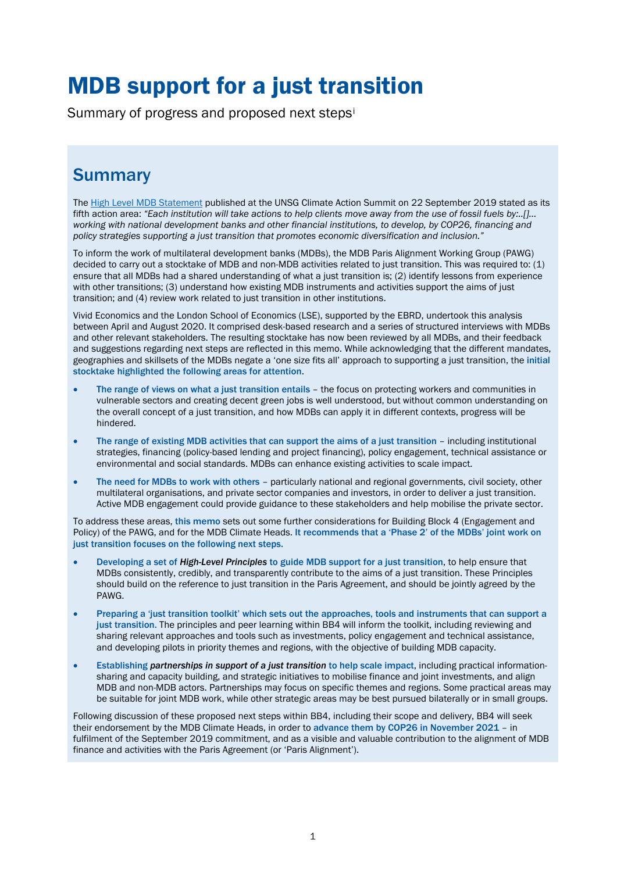# MDB support for a just transition

Summary of progress and proposed next steps[i](#page-6-0)

# **Summary**

Th[e High Level MDB Statement](https://www.adb.org/sites/default/files/page/41117/climate-change-finance-joint-mdb-statement-2019-09-23.pdf) published at the UNSG Climate Action Summit on 22 September 2019 stated as its fifth action area: *"Each institution will take actions to help clients move away from the use of fossil fuels by:..[]… working with national development banks and other financial institutions, to develop, by COP26, financing and policy strategies supporting a just transition that promotes economic diversification and inclusion."*

To inform the work of multilateral development banks (MDBs), the MDB Paris Alignment Working Group (PAWG) decided to carry out a stocktake of MDB and non-MDB activities related to just transition. This was required to: (1) ensure that all MDBs had a shared understanding of what a just transition is; (2) identify lessons from experience with other transitions; (3) understand how existing MDB instruments and activities support the aims of just transition; and (4) review work related to just transition in other institutions.

Vivid Economics and the London School of Economics (LSE), supported by the EBRD, undertook this analysis between April and August 2020. It comprised desk-based research and a series of structured interviews with MDBs and other relevant stakeholders. The resulting stocktake has now been reviewed by all MDBs, and their feedback and suggestions regarding next steps are reflected in this memo. While acknowledging that the different mandates, geographies and skillsets of the MDBs negate a 'one size fits all' approach to supporting a just transition, the initial stocktake highlighted the following areas for attention.

- The range of views on what a just transition entails the focus on protecting workers and communities in vulnerable sectors and creating decent green jobs is well understood, but without common understanding on the overall concept of a just transition, and how MDBs can apply it in different contexts, progress will be hindered.
- The range of existing MDB activities that can support the aims of a just transition including institutional strategies, financing (policy-based lending and project financing), policy engagement, technical assistance or environmental and social standards. MDBs can enhance existing activities to scale impact.
- The need for MDBs to work with others particularly national and regional governments, civil society, other multilateral organisations, and private sector companies and investors, in order to deliver a just transition. Active MDB engagement could provide guidance to these stakeholders and help mobilise the private sector.

To address these areas, this memo sets out some further considerations for Building Block 4 (Engagement and Policy) of the PAWG, and for the MDB Climate Heads. It recommends that a 'Phase 2' of the MDBs' joint work on just transition focuses on the following next steps.

- Developing a set of *High-Level Principles* to guide MDB support for a just transition, to help ensure that MDBs consistently, credibly, and transparently contribute to the aims of a just transition. These Principles should build on the reference to just transition in the Paris Agreement, and should be jointly agreed by the PAWG.
- Preparing a 'just transition toolkit' which sets out the approaches, tools and instruments that can support a just transition. The principles and peer learning within BB4 will inform the toolkit, including reviewing and sharing relevant approaches and tools such as investments, policy engagement and technical assistance, and developing pilots in priority themes and regions, with the objective of building MDB capacity.
- Establishing *partnerships in support of a just transition* to help scale impact, including practical informationsharing and capacity building, and strategic initiatives to mobilise finance and joint investments, and align MDB and non-MDB actors. Partnerships may focus on specific themes and regions. Some practical areas may be suitable for joint MDB work, while other strategic areas may be best pursued bilaterally or in small groups.

Following discussion of these proposed next steps within BB4, including their scope and delivery, BB4 will seek their endorsement by the MDB Climate Heads, in order to advance them by COP26 in November 2021 - in fulfilment of the September 2019 commitment, and as a visible and valuable contribution to the alignment of MDB finance and activities with the Paris Agreement (or 'Paris Alignment').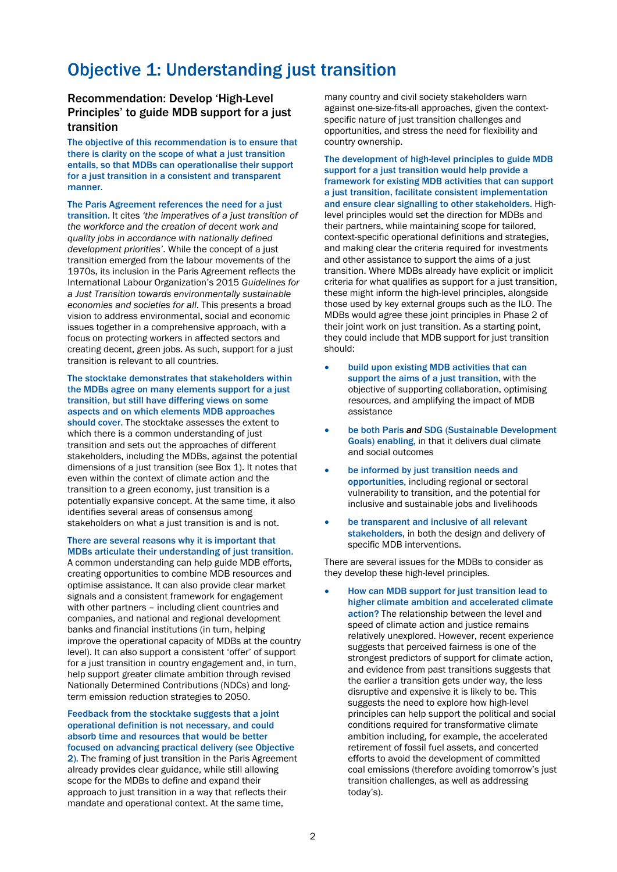## Objective 1: Understanding just transition

#### Recommendation: Develop 'High-Level Principles' to guide MDB support for a just transition

The objective of this recommendation is to ensure that there is clarity on the scope of what a just transition entails, so that MDBs can operationalise their support for a just transition in a consistent and transparent manner.

The Paris Agreement references the need for a just transition. It cites *'the imperatives of a just transition of the workforce and the creation of decent work and quality jobs in accordance with nationally defined development priorities'*. While the concept of a just transition emerged from the labour movements of the 1970s, its inclusion in the Paris Agreement reflects the International Labour Organization's 2015 *Guidelines for a Just Transition towards environmentally sustainable economies and societies for all*. This presents a broad vision to address environmental, social and economic issues together in a comprehensive approach, with a focus on protecting workers in affected sectors and creating decent, green jobs. As such, support for a just transition is relevant to all countries.

#### The stocktake demonstrates that stakeholders within the MDBs agree on many elements support for a just transition, but still have differing views on some aspects and on which elements MDB approaches should cover. The stocktake assesses the extent to which there is a common understanding of just

transition and sets out the approaches of different stakeholders, including the MDBs, against the potential dimensions of a just transition (see Box 1). It notes that even within the context of climate action and the transition to a green economy, just transition is a potentially expansive concept. At the same time, it also identifies several areas of consensus among stakeholders on what a just transition is and is not.

#### There are several reasons why it is important that MDBs articulate their understanding of just transition.

A common understanding can help guide MDB efforts, creating opportunities to combine MDB resources and optimise assistance. It can also provide clear market signals and a consistent framework for engagement with other partners – including client countries and companies, and national and regional development banks and financial institutions (in turn, helping improve the operational capacity of MDBs at the country level). It can also support a consistent 'offer' of support for a just transition in country engagement and, in turn, help support greater climate ambition through revised Nationally Determined Contributions (NDCs) and longterm emission reduction strategies to 2050.

#### Feedback from the stocktake suggests that a joint operational definition is not necessary, and could absorb time and resources that would be better focused on advancing practical delivery (see Objective 2). The framing of just transition in the Paris Agreement already provides clear guidance, while still allowing scope for the MDBs to define and expand their approach to just transition in a way that reflects their mandate and operational context. At the same time,

many country and civil society stakeholders warn against one-size-fits-all approaches, given the contextspecific nature of just transition challenges and opportunities, and stress the need for flexibility and country ownership.

The development of high-level principles to guide MDB support for a just transition would help provide a framework for existing MDB activities that can support a just transition, facilitate consistent implementation and ensure clear signalling to other stakeholders. Highlevel principles would set the direction for MDBs and their partners, while maintaining scope for tailored, context-specific operational definitions and strategies, and making clear the criteria required for investments and other assistance to support the aims of a just transition. Where MDBs already have explicit or implicit criteria for what qualifies as support for a just transition, these might inform the high-level principles, alongside those used by key external groups such as the ILO. The MDBs would agree these joint principles in Phase 2 of their joint work on just transition. As a starting point, they could include that MDB support for just transition should:

- build upon existing MDB activities that can support the aims of a just transition, with the objective of supporting collaboration, optimising resources, and amplifying the impact of MDB assistance
- be both Paris *and* SDG (Sustainable Development Goals) enabling, in that it delivers dual climate and social outcomes
- be informed by just transition needs and opportunities, including regional or sectoral vulnerability to transition, and the potential for inclusive and sustainable jobs and livelihoods
- be transparent and inclusive of all relevant stakeholders, in both the design and delivery of specific MDB interventions.

There are several issues for the MDBs to consider as they develop these high-level principles.

• How can MDB support for just transition lead to higher climate ambition and accelerated climate action? The relationship between the level and speed of climate action and justice remains relatively unexplored. However, recent experience suggests that perceived fairness is one of the strongest predictors of support for climate action, and evidence from past transitions suggests that the earlier a transition gets under way, the less disruptive and expensive it is likely to be. This suggests the need to explore how high-level principles can help support the political and social conditions required for transformative climate ambition including, for example, the accelerated retirement of fossil fuel assets, and concerted efforts to avoid the development of committed coal emissions (therefore avoiding tomorrow's just transition challenges, as well as addressing today's).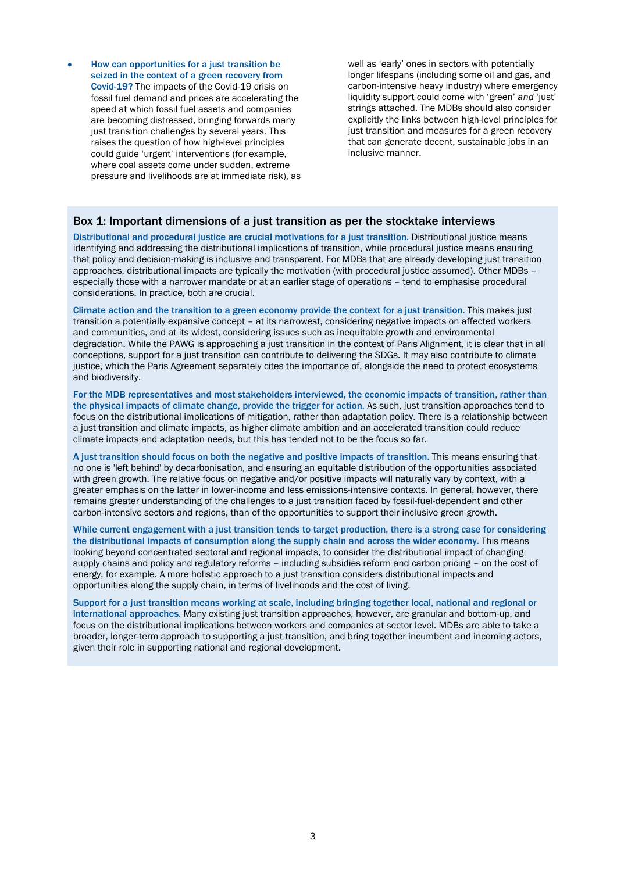• How can opportunities for a just transition be seized in the context of a green recovery from Covid-19? The impacts of the Covid-19 crisis on fossil fuel demand and prices are accelerating the speed at which fossil fuel assets and companies are becoming distressed, bringing forwards many just transition challenges by several years. This raises the question of how high-level principles could guide 'urgent' interventions (for example, where coal assets come under sudden, extreme pressure and livelihoods are at immediate risk), as well as 'early' ones in sectors with potentially longer lifespans (including some oil and gas, and carbon-intensive heavy industry) where emergency liquidity support could come with 'green' *and* 'just' strings attached. The MDBs should also consider explicitly the links between high-level principles for just transition and measures for a green recovery that can generate decent, sustainable jobs in an inclusive manner.

#### Box 1: Important dimensions of a just transition as per the stocktake interviews

Distributional and procedural justice are crucial motivations for a just transition. Distributional justice means identifying and addressing the distributional implications of transition, while procedural justice means ensuring that policy and decision-making is inclusive and transparent. For MDBs that are already developing just transition approaches, distributional impacts are typically the motivation (with procedural justice assumed). Other MDBs – especially those with a narrower mandate or at an earlier stage of operations – tend to emphasise procedural considerations. In practice, both are crucial.

Climate action and the transition to a green economy provide the context for a just transition. This makes just transition a potentially expansive concept – at its narrowest, considering negative impacts on affected workers and communities, and at its widest, considering issues such as inequitable growth and environmental degradation. While the PAWG is approaching a just transition in the context of Paris Alignment, it is clear that in all conceptions, support for a just transition can contribute to delivering the SDGs. It may also contribute to climate justice, which the Paris Agreement separately cites the importance of, alongside the need to protect ecosystems and biodiversity.

For the MDB representatives and most stakeholders interviewed, the economic impacts of transition, rather than the physical impacts of climate change, provide the trigger for action. As such, just transition approaches tend to focus on the distributional implications of mitigation, rather than adaptation policy. There is a relationship between a just transition and climate impacts, as higher climate ambition and an accelerated transition could reduce climate impacts and adaptation needs, but this has tended not to be the focus so far.

A just transition should focus on both the negative and positive impacts of transition. This means ensuring that no one is 'left behind' by decarbonisation, and ensuring an equitable distribution of the opportunities associated with green growth. The relative focus on negative and/or positive impacts will naturally vary by context, with a greater emphasis on the latter in lower-income and less emissions-intensive contexts. In general, however, there remains greater understanding of the challenges to a just transition faced by fossil-fuel-dependent and other carbon-intensive sectors and regions, than of the opportunities to support their inclusive green growth.

While current engagement with a just transition tends to target production, there is a strong case for considering the distributional impacts of consumption along the supply chain and across the wider economy. This means looking beyond concentrated sectoral and regional impacts, to consider the distributional impact of changing supply chains and policy and regulatory reforms – including subsidies reform and carbon pricing – on the cost of energy, for example. A more holistic approach to a just transition considers distributional impacts and opportunities along the supply chain, in terms of livelihoods and the cost of living.

Support for a just transition means working at scale, including bringing together local, national and regional or international approaches. Many existing just transition approaches, however, are granular and bottom-up, and focus on the distributional implications between workers and companies at sector level. MDBs are able to take a broader, longer-term approach to supporting a just transition, and bring together incumbent and incoming actors, given their role in supporting national and regional development.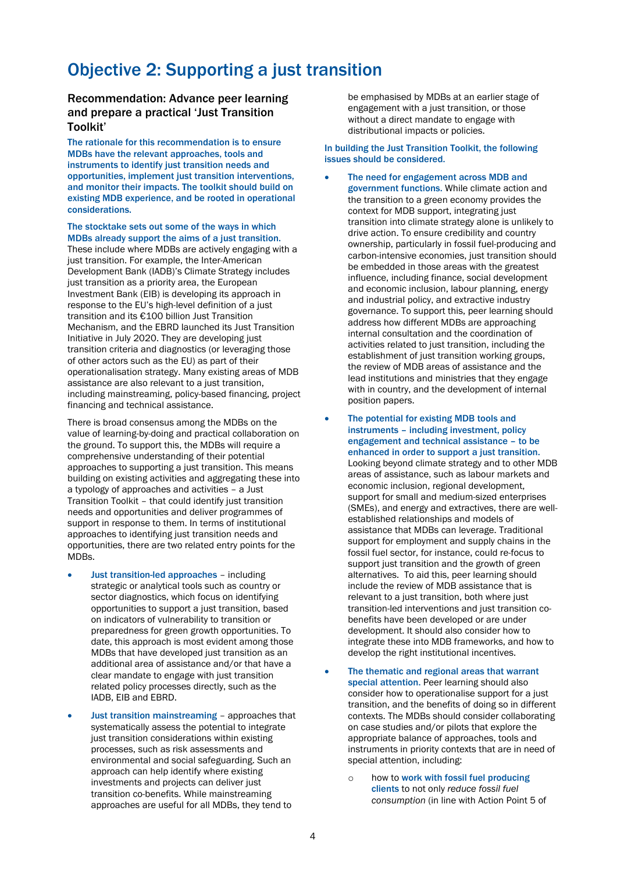## Objective 2: Supporting a just transition

#### Recommendation: Advance peer learning and prepare a practical 'Just Transition Toolkit'

The rationale for this recommendation is to ensure MDBs have the relevant approaches, tools and instruments to identify just transition needs and opportunities, implement just transition interventions, and monitor their impacts. The toolkit should build on existing MDB experience, and be rooted in operational considerations.

#### The stocktake sets out some of the ways in which MDBs already support the aims of a just transition.

These include where MDBs are actively engaging with a just transition. For example, the Inter-American Development Bank (IADB)'s Climate Strategy includes just transition as a priority area, the European Investment Bank (EIB) is developing its approach in response to the EU's high-level definition of a just transition and its €100 billion Just Transition Mechanism, and the EBRD launched its Just Transition Initiative in July 2020. They are developing just transition criteria and diagnostics (or leveraging those of other actors such as the EU) as part of their operationalisation strategy. Many existing areas of MDB assistance are also relevant to a just transition, including mainstreaming, policy-based financing, project financing and technical assistance.

There is broad consensus among the MDBs on the value of learning-by-doing and practical collaboration on the ground. To support this, the MDBs will require a comprehensive understanding of their potential approaches to supporting a just transition. This means building on existing activities and aggregating these into a typology of approaches and activities – a Just Transition Toolkit – that could identify just transition needs and opportunities and deliver programmes of support in response to them. In terms of institutional approaches to identifying just transition needs and opportunities, there are two related entry points for the MDBs.

- Just transition-led approaches including strategic or analytical tools such as country or sector diagnostics, which focus on identifying opportunities to support a just transition, based on indicators of vulnerability to transition or preparedness for green growth opportunities. To date, this approach is most evident among those MDBs that have developed just transition as an additional area of assistance and/or that have a clear mandate to engage with just transition related policy processes directly, such as the IADB, EIB and EBRD.
- Just transition mainstreaming approaches that systematically assess the potential to integrate just transition considerations within existing processes, such as risk assessments and environmental and social safeguarding. Such an approach can help identify where existing investments and projects can deliver just transition co-benefits. While mainstreaming approaches are useful for all MDBs, they tend to

be emphasised by MDBs at an earlier stage of engagement with a just transition, or those without a direct mandate to engage with distributional impacts or policies.

#### In building the Just Transition Toolkit, the following issues should be considered.

- The need for engagement across MDB and government functions. While climate action and the transition to a green economy provides the context for MDB support, integrating just transition into climate strategy alone is unlikely to drive action. To ensure credibility and country ownership, particularly in fossil fuel-producing and carbon-intensive economies, just transition should be embedded in those areas with the greatest influence, including finance, social development and economic inclusion, labour planning, energy and industrial policy, and extractive industry governance. To support this, peer learning should address how different MDBs are approaching internal consultation and the coordination of activities related to just transition, including the establishment of just transition working groups, the review of MDB areas of assistance and the lead institutions and ministries that they engage with in country, and the development of internal position papers.
- The potential for existing MDB tools and instruments – including investment, policy engagement and technical assistance – to be enhanced in order to support a just transition. Looking beyond climate strategy and to other MDB areas of assistance, such as labour markets and economic inclusion, regional development, support for small and medium-sized enterprises (SMEs), and energy and extractives, there are wellestablished relationships and models of assistance that MDBs can leverage. Traditional support for employment and supply chains in the fossil fuel sector, for instance, could re-focus to support just transition and the growth of green alternatives. To aid this, peer learning should include the review of MDB assistance that is relevant to a just transition, both where just transition-led interventions and just transition cobenefits have been developed or are under development. It should also consider how to integrate these into MDB frameworks, and how to develop the right institutional incentives.
- The thematic and regional areas that warrant special attention. Peer learning should also consider how to operationalise support for a just transition, and the benefits of doing so in different contexts. The MDBs should consider collaborating on case studies and/or pilots that explore the appropriate balance of approaches, tools and instruments in priority contexts that are in need of special attention, including:
	- o how to work with fossil fuel producing clients to not only *reduce fossil fuel consumption* (in line with Action Point 5 of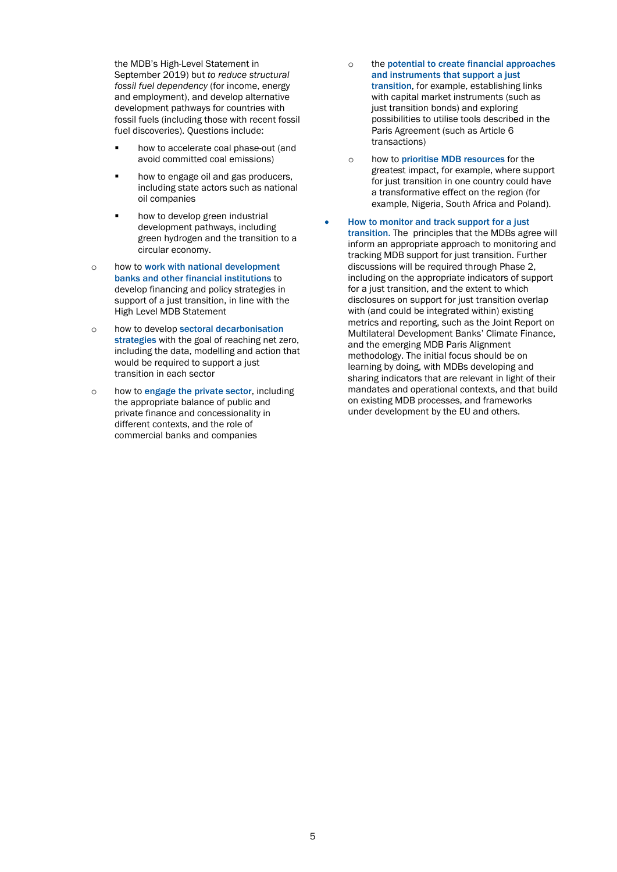the MDB's High-Level Statement in September 2019) but *to reduce structural fossil fuel dependency* (for income, energy and employment), and develop alternative development pathways for countries with fossil fuels (including those with recent fossil fuel discoveries). Questions include:

- **•** how to accelerate coal phase-out (and avoid committed coal emissions)
- how to engage oil and gas producers, including state actors such as national oil companies
- **•** how to develop green industrial development pathways, including green hydrogen and the transition to a circular economy.
- o how to work with national development banks and other financial institutions to develop financing and policy strategies in support of a just transition, in line with the High Level MDB Statement
- o how to develop sectoral decarbonisation strategies with the goal of reaching net zero, including the data, modelling and action that would be required to support a just transition in each sector
- o how to engage the private sector, including the appropriate balance of public and private finance and concessionality in different contexts, and the role of commercial banks and companies
- o the potential to create financial approaches and instruments that support a just transition, for example, establishing links with capital market instruments (such as just transition bonds) and exploring possibilities to utilise tools described in the Paris Agreement (such as Article 6 transactions)
- o how to prioritise MDB resources for the greatest impact, for example, where support for just transition in one country could have a transformative effect on the region (for example, Nigeria, South Africa and Poland).
- How to monitor and track support for a just transition. The principles that the MDBs agree will inform an appropriate approach to monitoring and tracking MDB support for just transition. Further discussions will be required through Phase 2, including on the appropriate indicators of support for a just transition, and the extent to which disclosures on support for just transition overlap with (and could be integrated within) existing metrics and reporting, such as the Joint Report on Multilateral Development Banks' Climate Finance, and the emerging MDB Paris Alignment methodology. The initial focus should be on learning by doing, with MDBs developing and sharing indicators that are relevant in light of their mandates and operational contexts, and that build on existing MDB processes, and frameworks under development by the EU and others.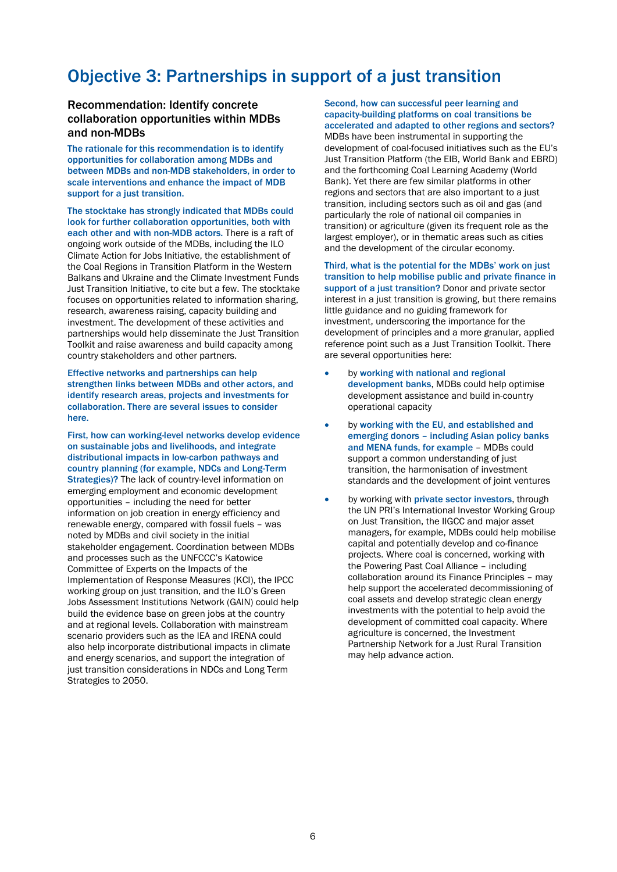# Objective 3: Partnerships in support of a just transition

#### Recommendation: Identify concrete collaboration opportunities within MDBs and non-MDBs

The rationale for this recommendation is to identify opportunities for collaboration among MDBs and between MDBs and non-MDB stakeholders, in order to scale interventions and enhance the impact of MDB support for a just transition.

The stocktake has strongly indicated that MDBs could look for further collaboration opportunities, both with each other and with non-MDB actors. There is a raft of ongoing work outside of the MDBs, including the ILO Climate Action for Jobs Initiative, the establishment of the Coal Regions in Transition Platform in the Western Balkans and Ukraine and the Climate Investment Funds Just Transition Initiative, to cite but a few. The stocktake focuses on opportunities related to information sharing, research, awareness raising, capacity building and investment. The development of these activities and partnerships would help disseminate the Just Transition Toolkit and raise awareness and build capacity among country stakeholders and other partners.

Effective networks and partnerships can help strengthen links between MDBs and other actors, and identify research areas, projects and investments for collaboration. There are several issues to consider here.

First, how can working-level networks develop evidence on sustainable jobs and livelihoods, and integrate distributional impacts in low-carbon pathways and country planning (for example, NDCs and Long-Term Strategies)? The lack of country-level information on emerging employment and economic development opportunities – including the need for better information on job creation in energy efficiency and renewable energy, compared with fossil fuels – was noted by MDBs and civil society in the initial stakeholder engagement. Coordination between MDBs and processes such as the UNFCCC's Katowice Committee of Experts on the Impacts of the Implementation of Response Measures (KCI), the IPCC working group on just transition, and the ILO's Green Jobs Assessment Institutions Network (GAIN) could help build the evidence base on green jobs at the country and at regional levels. Collaboration with mainstream scenario providers such as the IEA and IRENA could also help incorporate distributional impacts in climate and energy scenarios, and support the integration of just transition considerations in NDCs and Long Term Strategies to 2050.

Second, how can successful peer learning and capacity-building platforms on coal transitions be accelerated and adapted to other regions and sectors? MDBs have been instrumental in supporting the development of coal-focused initiatives such as the EU's Just Transition Platform (the EIB, World Bank and EBRD) and the forthcoming Coal Learning Academy (World Bank). Yet there are few similar platforms in other regions and sectors that are also important to a just transition, including sectors such as oil and gas (and particularly the role of national oil companies in transition) or agriculture (given its frequent role as the largest employer), or in thematic areas such as cities and the development of the circular economy.

#### Third, what is the potential for the MDBs' work on just transition to help mobilise public and private finance in support of a just transition? Donor and private sector

interest in a just transition is growing, but there remains little guidance and no guiding framework for investment, underscoring the importance for the development of principles and a more granular, applied reference point such as a Just Transition Toolkit. There are several opportunities here:

- by working with national and regional development banks, MDBs could help optimise development assistance and build in-country operational capacity
- by working with the EU, and established and emerging donors – including Asian policy banks and MENA funds, for example – MDBs could support a common understanding of just transition, the harmonisation of investment standards and the development of joint ventures
- by working with private sector investors, through the UN PRI's International Investor Working Group on Just Transition, the IIGCC and major asset managers, for example, MDBs could help mobilise capital and potentially develop and co-finance projects. Where coal is concerned, working with the Powering Past Coal Alliance – including collaboration around its Finance Principles – may help support the accelerated decommissioning of coal assets and develop strategic clean energy investments with the potential to help avoid the development of committed coal capacity. Where agriculture is concerned, the Investment Partnership Network for a Just Rural Transition may help advance action.